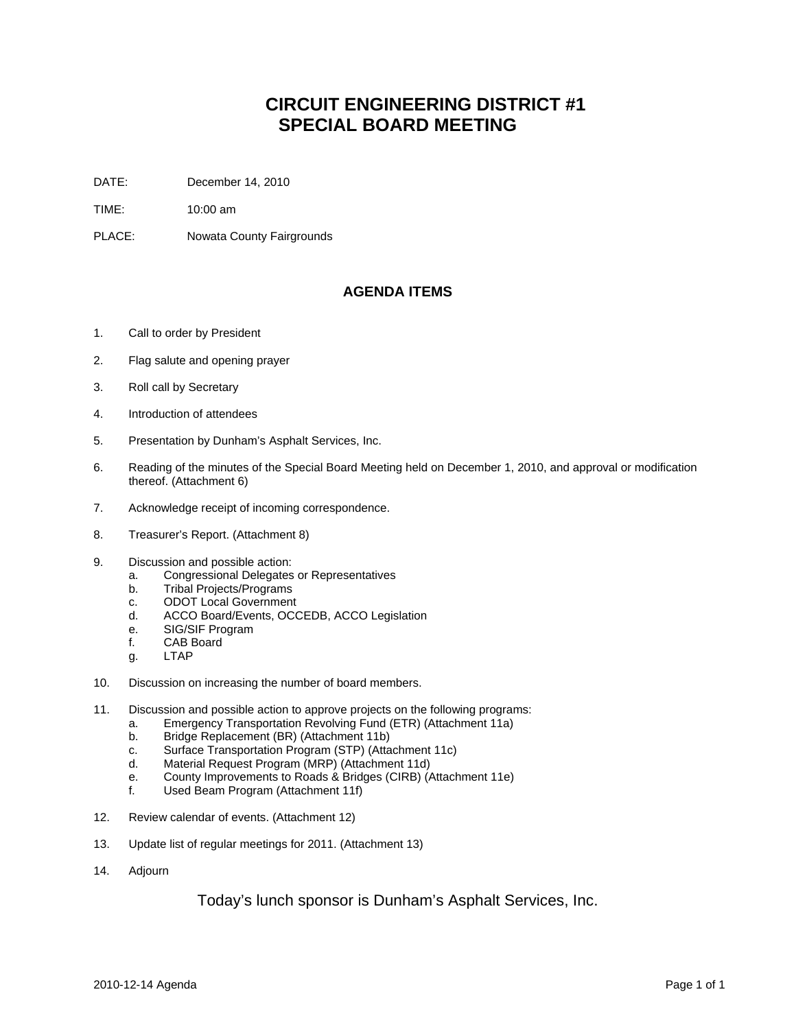## **CIRCUIT ENGINEERING DISTRICT #1 SPECIAL BOARD MEETING**

- DATE: December 14, 2010
- TIME: 10:00 am
- PLACE: Nowata County Fairgrounds

## **AGENDA ITEMS**

- 1. Call to order by President
- 2. Flag salute and opening prayer
- 3. Roll call by Secretary
- 4. Introduction of attendees
- 5. Presentation by Dunham's Asphalt Services, Inc.
- 6. Reading of the minutes of the Special Board Meeting held on December 1, 2010, and approval or modification thereof. (Attachment 6)
- 7. Acknowledge receipt of incoming correspondence.
- 8. Treasurer's Report. (Attachment 8)
- 9. Discussion and possible action:
	- a. Congressional Delegates or Representatives
	- b. Tribal Projects/Programs
	- c. ODOT Local Government
	- d. ACCO Board/Events, OCCEDB, ACCO Legislation
	- e. SIG/SIF Program
	- f. CAB Board
	- g. LTAP
- 10. Discussion on increasing the number of board members.
- 11. Discussion and possible action to approve projects on the following programs:
	- a. Emergency Transportation Revolving Fund (ETR) (Attachment 11a)
	- b. Bridge Replacement (BR) (Attachment 11b)
	- c. Surface Transportation Program (STP) (Attachment 11c)
	- d. Material Request Program (MRP) (Attachment 11d)
	- e. County Improvements to Roads & Bridges (CIRB) (Attachment 11e)
	- f. Used Beam Program (Attachment 11f)
- 12. Review calendar of events. (Attachment 12)
- 13. Update list of regular meetings for 2011. (Attachment 13)
- 14. Adjourn

Today's lunch sponsor is Dunham's Asphalt Services, Inc.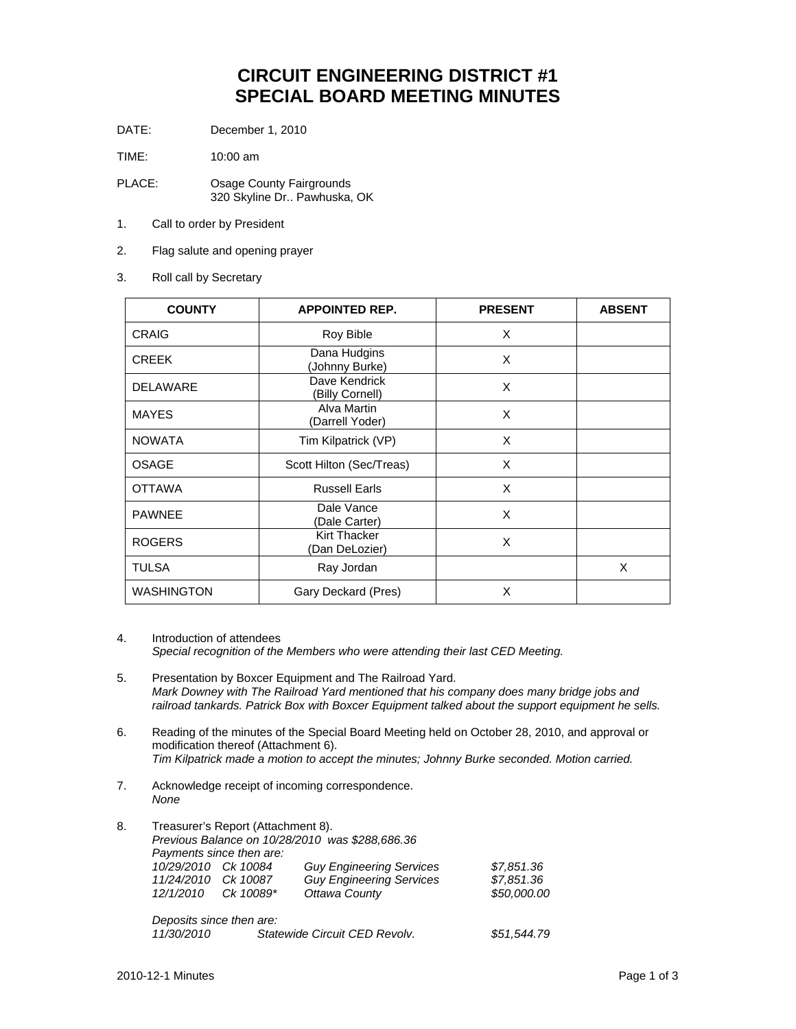## **CIRCUIT ENGINEERING DISTRICT #1 SPECIAL BOARD MEETING MINUTES**

DATE: December 1, 2010

TIME: 10:00 am

- PLACE: Osage County Fairgrounds 320 Skyline Dr.. Pawhuska, OK
- 1. Call to order by President
- 2. Flag salute and opening prayer
- 3. Roll call by Secretary

| <b>COUNTY</b>     | <b>APPOINTED REP.</b>            | <b>PRESENT</b> | <b>ABSENT</b> |
|-------------------|----------------------------------|----------------|---------------|
| <b>CRAIG</b>      | Roy Bible                        | X              |               |
| <b>CREEK</b>      | Dana Hudgins<br>(Johnny Burke)   | X              |               |
| <b>DELAWARE</b>   | Dave Kendrick<br>(Billy Cornell) | X              |               |
| <b>MAYES</b>      | Alva Martin<br>(Darrell Yoder)   | X              |               |
| <b>NOWATA</b>     | Tim Kilpatrick (VP)              | X              |               |
| <b>OSAGE</b>      | Scott Hilton (Sec/Treas)         | X              |               |
| <b>OTTAWA</b>     | <b>Russell Earls</b>             | X              |               |
| <b>PAWNEE</b>     | Dale Vance<br>(Dale Carter)      | X              |               |
| <b>ROGERS</b>     | Kirt Thacker<br>(Dan DeLozier)   | X              |               |
| <b>TULSA</b>      | Ray Jordan                       |                | X             |
| <b>WASHINGTON</b> | Gary Deckard (Pres)              | X              |               |

4. Introduction of attendees *Special recognition of the Members who were attending their last CED Meeting.* 

- 5. Presentation by Boxcer Equipment and The Railroad Yard.  *Mark Downey with The Railroad Yard mentioned that his company does many bridge jobs and railroad tankards. Patrick Box with Boxcer Equipment talked about the support equipment he sells.*
- 6. Reading of the minutes of the Special Board Meeting held on October 28, 2010, and approval or modification thereof (Attachment 6). *Tim Kilpatrick made a motion to accept the minutes; Johnny Burke seconded. Motion carried.*
- 7. Acknowledge receipt of incoming correspondence.  *None*
- 8. Treasurer's Report (Attachment 8). *Previous Balance on 10/28/2010 was \$288,686.36 Payments since then are: 10/29/2010 Ck 10084 Guy Engineering Services \$7,851.36 Guy Engineering Services* \$7,851.36<br>Ottawa County \$50,000.00 *12/1/2010 Ck 10089\* Deposits since then are: 11/30/2010 Statewide Circuit CED Revolv. \$51,544.79*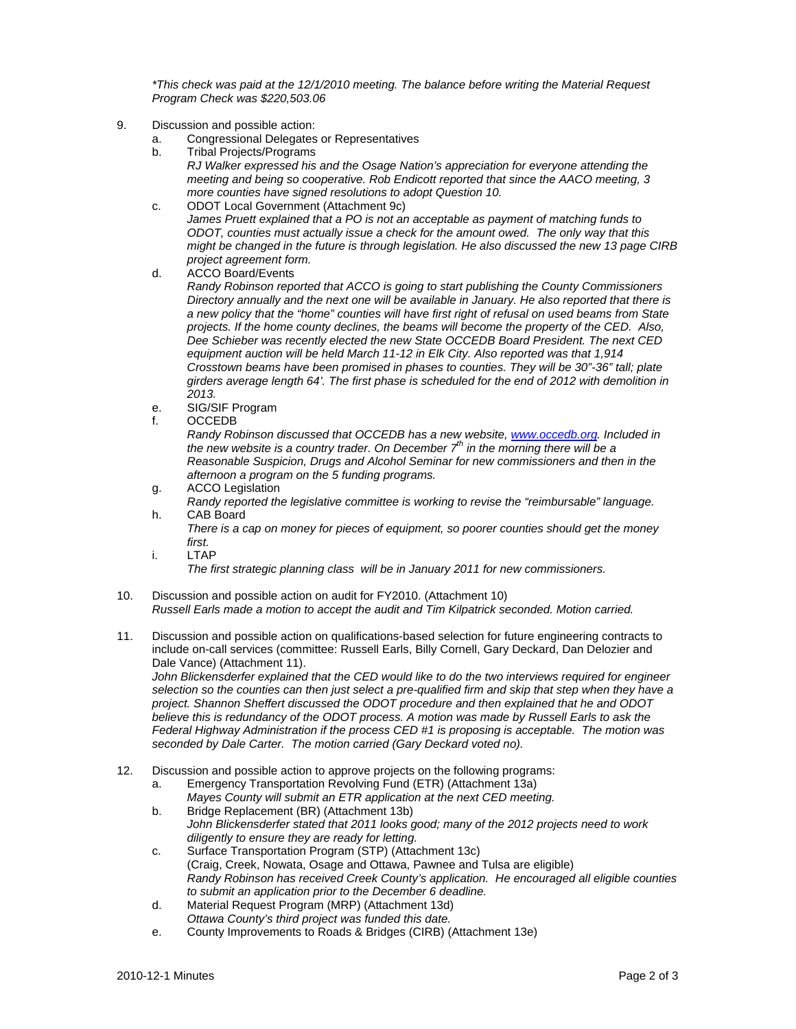*\*This check was paid at the 12/1/2010 meeting. The balance before writing the Material Request Program Check was \$220,503.06*

- 9. Discussion and possible action:
	- a. Congressional Delegates or Representatives
	- b. Tribal Projects/Programs *RJ Walker expressed his and the Osage Nation's appreciation for everyone attending the meeting and being so cooperative. Rob Endicott reported that since the AACO meeting, 3 more counties have signed resolutions to adopt Question 10.*
	- c. ODOT Local Government (Attachment 9c) *James Pruett explained that a PO is not an acceptable as payment of matching funds to ODOT, counties must actually issue a check for the amount owed. The only way that this might be changed in the future is through legislation. He also discussed the new 13 page CIRB project agreement form.*
	- d. ACCO Board/Events

 *Randy Robinson reported that ACCO is going to start publishing the County Commissioners Directory annually and the next one will be available in January. He also reported that there is a new policy that the "home" counties will have first right of refusal on used beams from State projects. If the home county declines, the beams will become the property of the CED. Also, Dee Schieber was recently elected the new State OCCEDB Board President. The next CED equipment auction will be held March 11-12 in Elk City. Also reported was that 1,914 Crosstown beams have been promised in phases to counties. They will be 30"-36" tall; plate girders average length 64'. The first phase is scheduled for the end of 2012 with demolition in 2013.* 

- e. SIG/SIF Program
- f. OCCEDB

*Randy Robinson discussed that OCCEDB has a new website, www.occedb.org. Included in the new website is a country trader. On December*  $7<sup>th</sup>$  *in the morning there will be a Reasonable Suspicion, Drugs and Alcohol Seminar for new commissioners and then in the afternoon a program on the 5 funding programs.* 

- g. ACCO Legislation
- *Randy reported the legislative committee is working to revise the "reimbursable" language.*  h. CAB Board

*There is a cap on money for pieces of equipment, so poorer counties should get the money first.* 

i. LTAP

*The first strategic planning class will be in January 2011 for new commissioners.* 

- 10. Discussion and possible action on audit for FY2010. (Attachment 10)  *Russell Earls made a motion to accept the audit and Tim Kilpatrick seconded. Motion carried.*
- 11. Discussion and possible action on qualifications-based selection for future engineering contracts to include on-call services (committee: Russell Earls, Billy Cornell, Gary Deckard, Dan Delozier and Dale Vance) (Attachment 11).

 *John Blickensderfer explained that the CED would like to do the two interviews required for engineer selection so the counties can then just select a pre-qualified firm and skip that step when they have a project. Shannon Sheffert discussed the ODOT procedure and then explained that he and ODOT believe this is redundancy of the ODOT process. A motion was made by Russell Earls to ask the Federal Highway Administration if the process CED #1 is proposing is acceptable. The motion was seconded by Dale Carter. The motion carried (Gary Deckard voted no).* 

12. Discussion and possible action to approve projects on the following programs:

a. Emergency Transportation Revolving Fund (ETR) (Attachment 13a)

- *Mayes County will submit an ETR application at the next CED meeting.*
- b. Bridge Replacement (BR) (Attachment 13b) *John Blickensderfer stated that 2011 looks good; many of the 2012 projects need to work diligently to ensure they are ready for letting.*
- c. Surface Transportation Program (STP) (Attachment 13c) (Craig, Creek, Nowata, Osage and Ottawa, Pawnee and Tulsa are eligible) *Randy Robinson has received Creek County's application. He encouraged all eligible counties to submit an application prior to the December 6 deadline.*
- d. Material Request Program (MRP) (Attachment 13d) *Ottawa County's third project was funded this date.*
- e. County Improvements to Roads & Bridges (CIRB) (Attachment 13e)